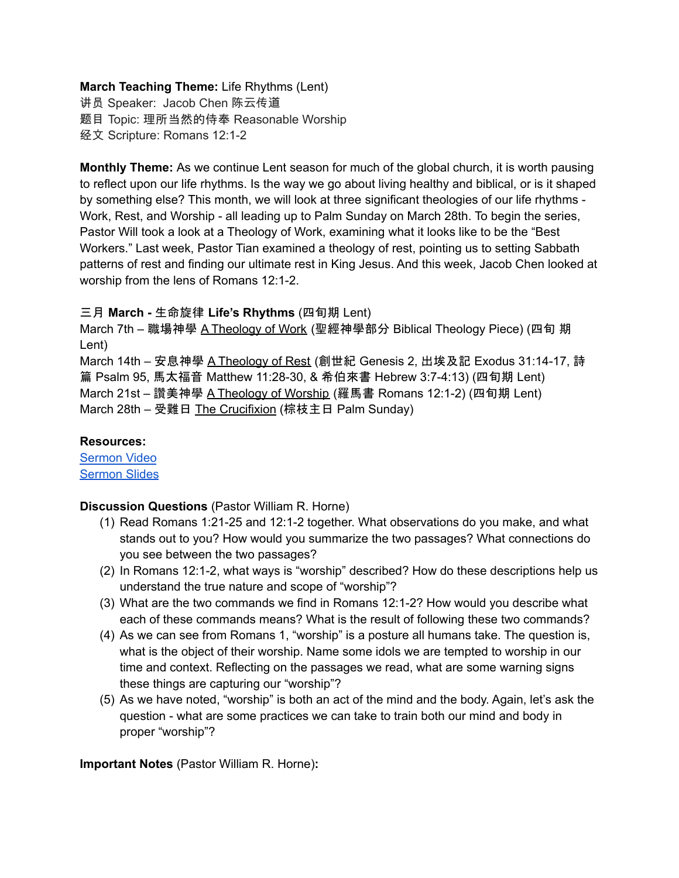# **March Teaching Theme:** Life Rhythms (Lent)

讲员 Speaker: Jacob Chen 陈云传道 题目 Topic: 理所当然的侍奉 Reasonable Worship 经文 Scripture: Romans 12:1-2

**Monthly Theme:** As we continue Lent season for much of the global church, it is worth pausing to reflect upon our life rhythms. Is the way we go about living healthy and biblical, or is it shaped by something else? This month, we will look at three significant theologies of our life rhythms - Work, Rest, and Worship - all leading up to Palm Sunday on March 28th. To begin the series, Pastor Will took a look at a Theology of Work, examining what it looks like to be the "Best Workers." Last week, Pastor Tian examined a theology of rest, pointing us to setting Sabbath patterns of rest and finding our ultimate rest in King Jesus. And this week, Jacob Chen looked at worship from the lens of Romans 12:1-2.

# 三月 **March -** 生命旋律 **Life's Rhythms** (四旬期 Lent)

March 7th – 職場神學 A Theology of Work (聖經神學部分 Biblical Theology Piece) (四旬 期 Lent)

March 14th – 安息神學 A Theology of Rest (創世紀 Genesis 2, 出埃及記 Exodus 31:14-17, 詩 篇 Psalm 95, 馬太福音 Matthew 11:28-30, & 希伯來書 Hebrew 3:7-4:13) (四旬期 Lent) March 21st – 讚美神學 A Theology of Worship (羅馬書 Romans 12:1-2) (四旬期 Lent) March 28th – 受難日 The Crucifixion (棕枝主日 Palm Sunday)

#### **Resources:**

[Sermon](https://www.youtube.com/watch?v=cUYUDCOUCoM) Video [Sermon](http://www.lcccky.org/CellGroup/Meetings/%E7%90%86%E6%89%80%E5%BD%93%E7%84%B6%E7%9A%84%E4%BE%8D%E5%A5%89.pdf) Slides

# **Discussion Questions** (Pastor William R. Horne)

- (1) Read Romans 1:21-25 and 12:1-2 together. What observations do you make, and what stands out to you? How would you summarize the two passages? What connections do you see between the two passages?
- (2) In Romans 12:1-2, what ways is "worship" described? How do these descriptions help us understand the true nature and scope of "worship"?
- (3) What are the two commands we find in Romans 12:1-2? How would you describe what each of these commands means? What is the result of following these two commands?
- (4) As we can see from Romans 1, "worship" is a posture all humans take. The question is, what is the object of their worship. Name some idols we are tempted to worship in our time and context. Reflecting on the passages we read, what are some warning signs these things are capturing our "worship"?
- (5) As we have noted, "worship" is both an act of the mind and the body. Again, let's ask the question - what are some practices we can take to train both our mind and body in proper "worship"?

**Important Notes** (Pastor William R. Horne)**:**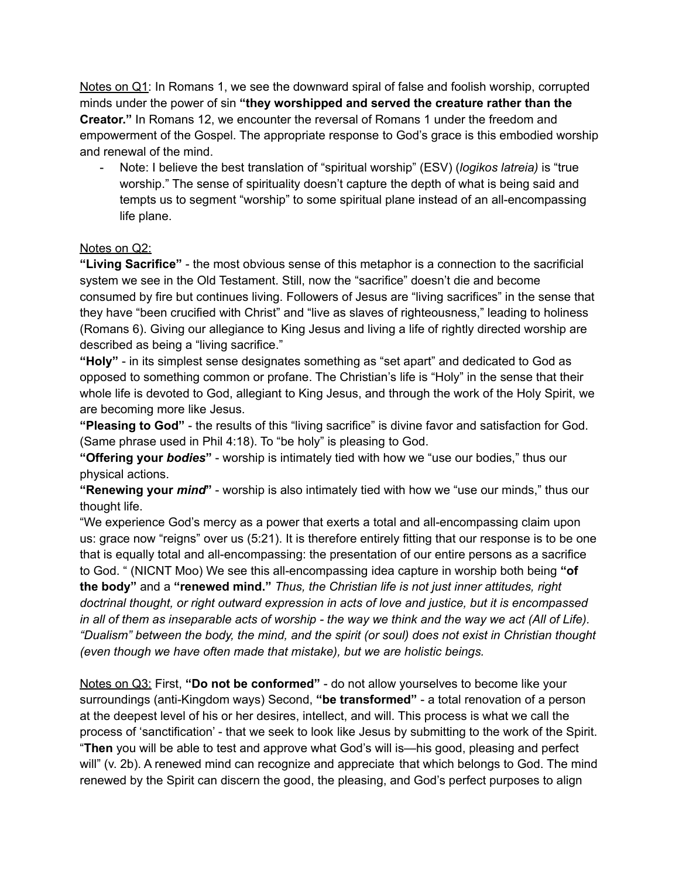Notes on Q1: In Romans 1, we see the downward spiral of false and foolish worship, corrupted minds under the power of sin **"they worshipped and served the creature rather than the Creator."** In Romans 12, we encounter the reversal of Romans 1 under the freedom and empowerment of the Gospel. The appropriate response to God's grace is this embodied worship and renewal of the mind.

- Note: I believe the best translation of "spiritual worship" (ESV) (*logikos latreia)* is "true worship." The sense of spirituality doesn't capture the depth of what is being said and tempts us to segment "worship" to some spiritual plane instead of an all-encompassing life plane.

#### Notes on Q2:

**"Living Sacrifice"** - the most obvious sense of this metaphor is a connection to the sacrificial system we see in the Old Testament. Still, now the "sacrifice" doesn't die and become consumed by fire but continues living. Followers of Jesus are "living sacrifices" in the sense that they have "been crucified with Christ" and "live as slaves of righteousness," leading to holiness (Romans 6). Giving our allegiance to King Jesus and living a life of rightly directed worship are described as being a "living sacrifice."

**"Holy"** - in its simplest sense designates something as "set apart" and dedicated to God as opposed to something common or profane. The Christian's life is "Holy" in the sense that their whole life is devoted to God, allegiant to King Jesus, and through the work of the Holy Spirit, we are becoming more like Jesus.

**"Pleasing to God"** - the results of this "living sacrifice" is divine favor and satisfaction for God. (Same phrase used in Phil 4:18). To "be holy" is pleasing to God.

**"Offering your** *bodies***"** - worship is intimately tied with how we "use our bodies," thus our physical actions.

**"Renewing your** *mind***"** - worship is also intimately tied with how we "use our minds," thus our thought life.

"We experience God's mercy as a power that exerts a total and all-encompassing claim upon us: grace now "reigns" over us (5:21). It is therefore entirely fitting that our response is to be one that is equally total and all-encompassing: the presentation of our entire persons as a sacrifice to God. " (NICNT Moo) We see this all-encompassing idea capture in worship both being **"of the body"** and a **"renewed mind."** *Thus, the Christian life is not just inner attitudes, right doctrinal thought, or right outward expression in acts of love and justice, but it is encompassed* in all of them as inseparable acts of worship - the way we think and the way we act (All of Life). *"Dualism" between the body, the mind, and the spirit (or soul) does not exist in Christian thought (even though we have often made that mistake), but we are holistic beings.*

Notes on Q3: First, **"Do not be conformed"** - do not allow yourselves to become like your surroundings (anti-Kingdom ways) Second, **"be transformed"** - a total renovation of a person at the deepest level of his or her desires, intellect, and will. This process is what we call the process of 'sanctification' - that we seek to look like Jesus by submitting to the work of the Spirit. "**Then** you will be able to test and approve what God's will is—his good, pleasing and perfect will" (v. 2b). A renewed mind can recognize and appreciate that which belongs to God. The mind renewed by the Spirit can discern the good, the pleasing, and God's perfect purposes to align